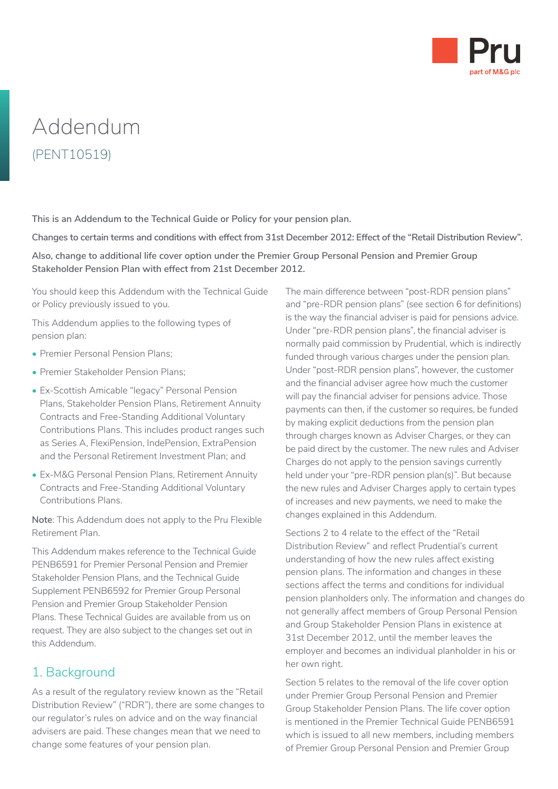

# Addendum (PENT10519)

**This is an Addendum to the Technical Guide or Policy for your pension plan.**

**Changes to certain terms and conditions with effect from 31st December 2012: Effect of the "Retail Distribution Review".**

**Also, change to additional life cover option under the Premier Group Personal Pension and Premier Group Stakeholder Pension Plan with effect from 21st December 2012.**

You should keep this Addendum with the Technical Guide or Policy previously issued to you.

This Addendum applies to the following types of pension plan:

- Premier Personal Pension Plans;
- Premier Stakeholder Pension Plans;
- Ex-Scottish Amicable "legacy" Personal Pension Plans, Stakeholder Pension Plans, Retirement Annuity Contracts and Free-Standing Additional Voluntary Contributions Plans. This includes product ranges such as Series A, FlexiPension, IndePension, ExtraPension and the Personal Retirement Investment Plan; and
- Ex-M&G Personal Pension Plans, Retirement Annuity Contracts and Free-Standing Additional Voluntary Contributions Plans.

**Note**: This Addendum does not apply to the Pru Flexible Retirement Plan.

This Addendum makes reference to the Technical Guide PENB6591 for Premier Personal Pension and Premier Stakeholder Pension Plans, and the Technical Guide Supplement PENB6592 for Premier Group Personal Pension and Premier Group Stakeholder Pension Plans. These Technical Guides are available from us on request. They are also subject to the changes set out in this Addendum.

# 1. Background

As a result of the regulatory review known as the "Retail Distribution Review" ("RDR"), there are some changes to our regulator's rules on advice and on the way financial advisers are paid. These changes mean that we need to change some features of your pension plan.

The main difference between "post-RDR pension plans" and "pre-RDR pension plans" (see section 6 for definitions) is the way the financial adviser is paid for pensions advice. Under "pre-RDR pension plans", the financial adviser is normally paid commission by Prudential, which is indirectly funded through various charges under the pension plan. Under "post-RDR pension plans", however, the customer and the financial adviser agree how much the customer will pay the financial adviser for pensions advice. Those payments can then, if the customer so requires, be funded by making explicit deductions from the pension plan through charges known as Adviser Charges, or they can be paid direct by the customer. The new rules and Adviser Charges do not apply to the pension savings currently held under your "pre-RDR pension plan(s)". But because the new rules and Adviser Charges apply to certain types of increases and new payments, we need to make the changes explained in this Addendum.

Sections 2 to 4 relate to the effect of the "Retail Distribution Review" and reflect Prudential's current understanding of how the new rules affect existing pension plans. The information and changes in these sections affect the terms and conditions for individual pension planholders only. The information and changes do not generally affect members of Group Personal Pension and Group Stakeholder Pension Plans in existence at 31st December 2012, until the member leaves the employer and becomes an individual planholder in his or her own right.

Section 5 relates to the removal of the life cover option under Premier Group Personal Pension and Premier Group Stakeholder Pension Plans. The life cover option is mentioned in the Premier Technical Guide PENB6591 which is issued to all new members, including members of Premier Group Personal Pension and Premier Group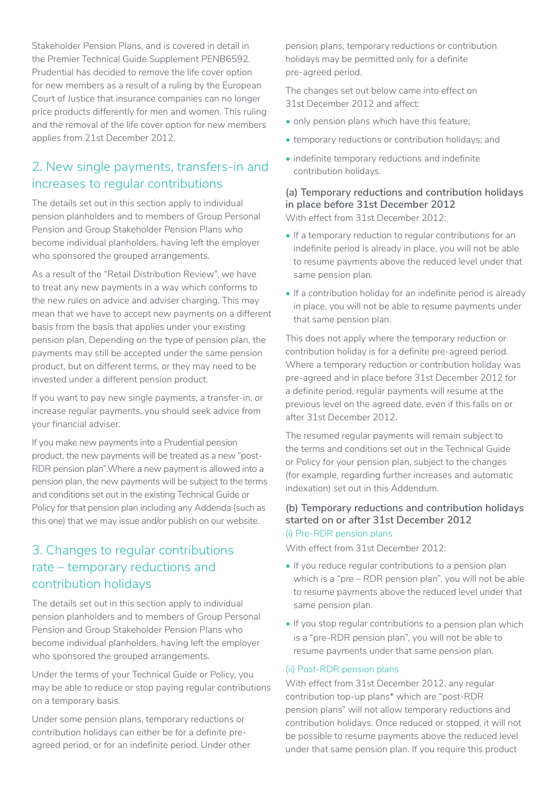Stakeholder Pension Plans, and is covered in detail in the Premier Technical Guide Supplement PENB6592. Prudential has decided to remove the life cover option for new members as a result of a ruling by the European Court of Justice that insurance companies can no longer price products differently for men and women. This ruling and the removal of the life cover option for new members applies from 21st December 2012.

## 2. New single payments, transfers-in and increases to regular contributions

The details set out in this section apply to individual pension planholders and to members of Group Personal Pension and Group Stakeholder Pension Plans who become individual planholders, having left the employer who sponsored the grouped arrangements.

As a result of the "Retail Distribution Review", we have to treat any new payments in a way which conforms to the new rules on advice and adviser charging. This may mean that we have to accept new payments on a different basis from the basis that applies under your existing pension plan. Depending on the type of pension plan, the payments may still be accepted under the same pension product, but on different terms, or they may need to be invested under a different pension product.

If you want to pay new single payments, a transfer-in, or increase regular payments, you should seek advice from your financial adviser.

If you make new payments into a Prudential pension product, the new payments will be treated as a new "post-RDR pension plan".Where a new payment is allowed into a pension plan, the new payments will be subject to the terms and conditions set out in the existing Technical Guide or Policy for that pension plan including any Addenda (such as this one) that we may issue and/or publish on our website.

# 3. Changes to regular contributions rate – temporary reductions and contribution holidays

The details set out in this section apply to individual pension planholders and to members of Group Personal Pension and Group Stakeholder Pension Plans who become individual planholders, having left the employer who sponsored the grouped arrangements.

Under the terms of your Technical Guide or Policy, you may be able to reduce or stop paying regular contributions on a temporary basis.

Under some pension plans, temporary reductions or contribution holidays can either be for a definite preagreed period, or for an indefinite period. Under other

pension plans, temporary reductions or contribution holidays may be permitted only for a definite pre-agreed period.

The changes set out below came into effect on 31st December 2012 and affect:

- only pension plans which have this feature;
- temporary reductions or contribution holidays; and
- indefinite temporary reductions and indefinite contribution holidays.

## **(a) Temporary reductions and contribution holidays in place before 31st December 2012**

With effect from 31st December 2012:

- If a temporary reduction to regular contributions for an indefinite period is already in place, you will not be able to resume payments above the reduced level under that same pension plan.
- If a contribution holiday for an indefinite period is already in place, you will not be able to resume payments under that same pension plan.

This does not apply where the temporary reduction or contribution holiday is for a definite pre-agreed period. Where a temporary reduction or contribution holiday was pre-agreed and in place before 31st December 2012 for a definite period, regular payments will resume at the previous level on the agreed date, even if this falls on or after 31st December 2012.

The resumed regular payments will remain subject to the terms and conditions set out in the Technical Guide or Policy for your pension plan, subject to the changes (for example, regarding further increases and automatic indexation) set out in this Addendum.

### **(b) Temporary reductions and contribution holidays started on or after 31st December 2012** (i) Pre-RDR pension plans

With effect from 31st December 2012:

- If you reduce regular contributions to a pension plan which is a "pre – RDR pension plan", you will not be able to resume payments above the reduced level under that same pension plan.
- If you stop regular contributions to a pension plan which is a "pre-RDR pension plan", you will not be able to resume payments under that same pension plan.

## (ii) Post-RDR pension plans

With effect from 31st December 2012, any regular contribution top-up plans\* which are "post-RDR pension plans" will not allow temporary reductions and contribution holidays. Once reduced or stopped, it will not be possible to resume payments above the reduced level under that same pension plan. If you require this product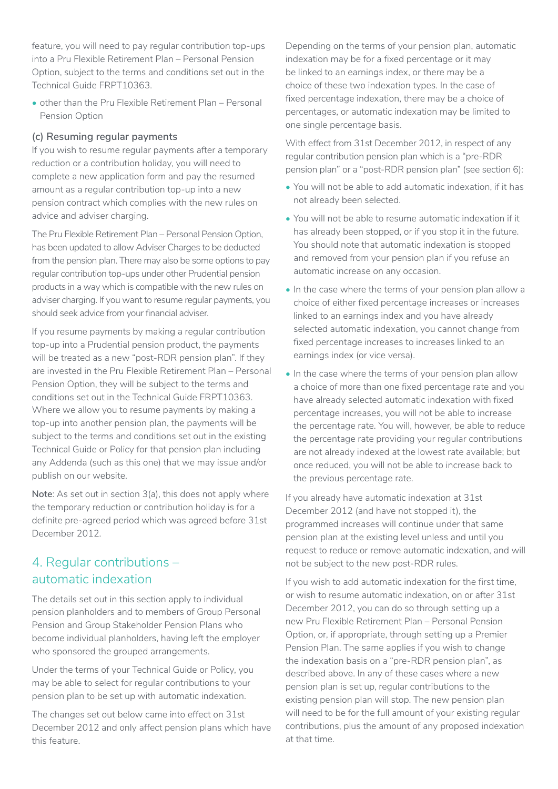feature, you will need to pay regular contribution top-ups into a Pru Flexible Retirement Plan – Personal Pension Option, subject to the terms and conditions set out in the Technical Guide FRPT10363.

• other than the Pru Flexible Retirement Plan – Personal Pension Option

#### **(c) Resuming regular payments**

If you wish to resume regular payments after a temporary reduction or a contribution holiday, you will need to complete a new application form and pay the resumed amount as a regular contribution top-up into a new pension contract which complies with the new rules on advice and adviser charging.

The Pru Flexible Retirement Plan – Personal Pension Option, has been updated to allow Adviser Charges to be deducted from the pension plan. There may also be some options to pay regular contribution top-ups under other Prudential pension products in a way which is compatible with the new rules on adviser charging. If you want to resume regular payments, you should seek advice from your financial adviser.

If you resume payments by making a regular contribution top-up into a Prudential pension product, the payments will be treated as a new "post-RDR pension plan". If they are invested in the Pru Flexible Retirement Plan – Personal Pension Option, they will be subject to the terms and conditions set out in the Technical Guide FRPT10363. Where we allow you to resume payments by making a top-up into another pension plan, the payments will be subject to the terms and conditions set out in the existing Technical Guide or Policy for that pension plan including any Addenda (such as this one) that we may issue and/or publish on our website.

**Note**: As set out in section 3(a), this does not apply where the temporary reduction or contribution holiday is for a definite pre-agreed period which was agreed before 31st December 2012.

## 4. Regular contributions – automatic indexation

The details set out in this section apply to individual pension planholders and to members of Group Personal Pension and Group Stakeholder Pension Plans who become individual planholders, having left the employer who sponsored the grouped arrangements.

Under the terms of your Technical Guide or Policy, you may be able to select for regular contributions to your pension plan to be set up with automatic indexation.

The changes set out below came into effect on 31st December 2012 and only affect pension plans which have this feature.

Depending on the terms of your pension plan, automatic indexation may be for a fixed percentage or it may be linked to an earnings index, or there may be a choice of these two indexation types. In the case of fixed percentage indexation, there may be a choice of percentages, or automatic indexation may be limited to one single percentage basis.

With effect from 31st December 2012, in respect of any regular contribution pension plan which is a "pre-RDR pension plan" or a "post-RDR pension plan" (see section 6):

- You will not be able to add automatic indexation, if it has not already been selected.
- You will not be able to resume automatic indexation if it has already been stopped, or if you stop it in the future. You should note that automatic indexation is stopped and removed from your pension plan if you refuse an automatic increase on any occasion.
- In the case where the terms of your pension plan allow a choice of either fixed percentage increases or increases linked to an earnings index and you have already selected automatic indexation, you cannot change from fixed percentage increases to increases linked to an earnings index (or vice versa).
- In the case where the terms of your pension plan allow a choice of more than one fixed percentage rate and you have already selected automatic indexation with fixed percentage increases, you will not be able to increase the percentage rate. You will, however, be able to reduce the percentage rate providing your regular contributions are not already indexed at the lowest rate available; but once reduced, you will not be able to increase back to the previous percentage rate.

If you already have automatic indexation at 31st December 2012 (and have not stopped it), the programmed increases will continue under that same pension plan at the existing level unless and until you request to reduce or remove automatic indexation, and will not be subject to the new post-RDR rules.

If you wish to add automatic indexation for the first time, or wish to resume automatic indexation, on or after 31st December 2012, you can do so through setting up a new Pru Flexible Retirement Plan – Personal Pension Option, or, if appropriate, through setting up a Premier Pension Plan. The same applies if you wish to change the indexation basis on a "pre-RDR pension plan", as described above. In any of these cases where a new pension plan is set up, regular contributions to the existing pension plan will stop. The new pension plan will need to be for the full amount of your existing regular contributions, plus the amount of any proposed indexation at that time.